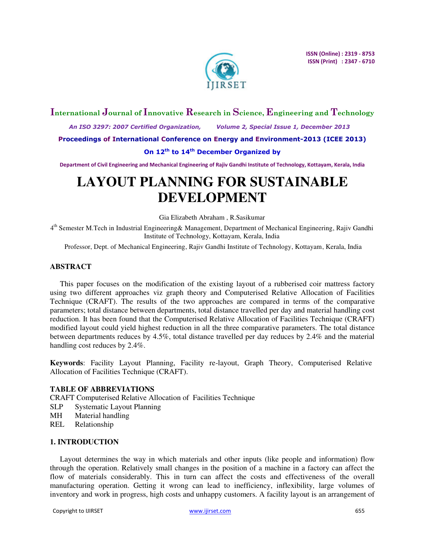

# **International Journal of Innovative Research in Science, Engineering and Technology**

 *An ISO 3297: 2007 Certified Organization, Volume 2, Special Issue 1, December 2013* 

**Proceedings of International Conference on Energy and Environment-2013 (ICEE 2013)** 

## **On 12th to 14th December Organized by**

**Department of Civil Engineering and Mechanical Engineering of Rajiv Gandhi Institute of Technology, Kottayam, Kerala, India** 

# **LAYOUT PLANNING FOR SUSTAINABLE DEVELOPMENT**

Gia Elizabeth Abraham , R.Sasikumar

4<sup>th</sup> Semester M.Tech in Industrial Engineering& Management, Department of Mechanical Engineering, Rajiv Gandhi Institute of Technology, Kottayam, Kerala, India

Professor, Dept. of Mechanical Engineering, Rajiv Gandhi Institute of Technology, Kottayam, Kerala, India

### **ABSTRACT**

This paper focuses on the modification of the existing layout of a rubberised coir mattress factory using two different approaches viz graph theory and Computerised Relative Allocation of Facilities Technique (CRAFT). The results of the two approaches are compared in terms of the comparative parameters; total distance between departments, total distance travelled per day and material handling cost reduction. It has been found that the Computerised Relative Allocation of Facilities Technique (CRAFT) modified layout could yield highest reduction in all the three comparative parameters. The total distance between departments reduces by 4.5%, total distance travelled per day reduces by 2.4% and the material handling cost reduces by 2.4%.

**Keywords**: Facility Layout Planning, Facility re-layout, Graph Theory, Computerised Relative Allocation of Facilities Technique (CRAFT).

## **TABLE OF ABBREVIATIONS**

CRAFT Computerised Relative Allocation of Facilities Technique

- SLP Systematic Layout Planning
- MH Material handling
- REL Relationship

## **1. INTRODUCTION**

Layout determines the way in which materials and other inputs (like people and information) flow through the operation. Relatively small changes in the position of a machine in a factory can affect the flow of materials considerably. This in turn can affect the costs and effectiveness of the overall manufacturing operation. Getting it wrong can lead to inefficiency, inflexibility, large volumes of inventory and work in progress, high costs and unhappy customers. A facility layout is an arrangement of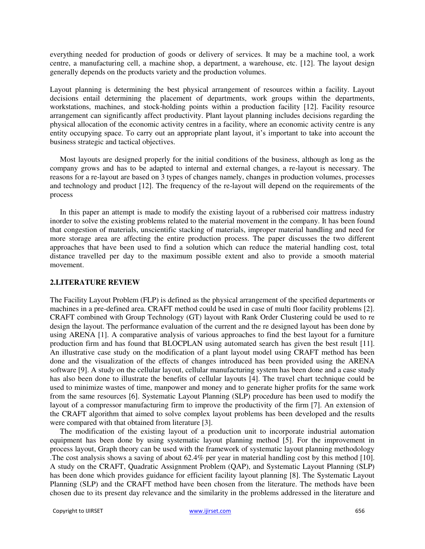everything needed for production of goods or delivery of services. It may be a machine tool, a work centre, a manufacturing cell, a machine shop, a department, a warehouse, etc. [12]. The layout design generally depends on the products variety and the production volumes.

Layout planning is determining the best physical arrangement of resources within a facility. Layout decisions entail determining the placement of departments, work groups within the departments, workstations, machines, and stock-holding points within a production facility [12]. Facility resource arrangement can significantly affect productivity. Plant layout planning includes decisions regarding the physical allocation of the economic activity centres in a facility, where an economic activity centre is any entity occupying space. To carry out an appropriate plant layout, it's important to take into account the business strategic and tactical objectives.

Most layouts are designed properly for the initial conditions of the business, although as long as the company grows and has to be adapted to internal and external changes, a re-layout is necessary. The reasons for a re-layout are based on 3 types of changes namely, changes in production volumes, processes and technology and product [12]. The frequency of the re-layout will depend on the requirements of the process

In this paper an attempt is made to modify the existing layout of a rubberised coir mattress industry inorder to solve the existing problems related to the material movement in the company. It has been found that congestion of materials, unscientific stacking of materials, improper material handling and need for more storage area are affecting the entire production process. The paper discusses the two different approaches that have been used to find a solution which can reduce the material handling cost, total distance travelled per day to the maximum possible extent and also to provide a smooth material movement.

## **2.LITERATURE REVIEW**

The Facility Layout Problem (FLP) is defined as the physical arrangement of the specified departments or machines in a pre-defined area. CRAFT method could be used in case of multi floor facility problems [2]. CRAFT combined with Group Technology (GT) layout with Rank Order Clustering could be used to re design the layout. The performance evaluation of the current and the re designed layout has been done by using ARENA [1]. A comparative analysis of various approaches to find the best layout for a furniture production firm and has found that BLOCPLAN using automated search has given the best result [11]. An illustrative case study on the modification of a plant layout model using CRAFT method has been done and the visualization of the effects of changes introduced has been provided using the ARENA software [9]. A study on the cellular layout, cellular manufacturing system has been done and a case study has also been done to illustrate the benefits of cellular layouts [4]. The travel chart technique could be used to minimize wastes of time, manpower and money and to generate higher profits for the same work from the same resources [6]. Systematic Layout Planning (SLP) procedure has been used to modify the layout of a compressor manufacturing firm to improve the productivity of the firm [7]. An extension of the CRAFT algorithm that aimed to solve complex layout problems has been developed and the results were compared with that obtained from literature [3].

The modification of the existing layout of a production unit to incorporate industrial automation equipment has been done by using systematic layout planning method [5]. For the improvement in process layout, Graph theory can be used with the framework of systematic layout planning methodology .The cost analysis shows a saving of about 62.4% per year in material handling cost by this method [10]. A study on the CRAFT, Quadratic Assignment Problem (QAP), and Systematic Layout Planning (SLP) has been done which provides guidance for efficient facility layout planning [8]. The Systematic Layout Planning (SLP) and the CRAFT method have been chosen from the literature. The methods have been chosen due to its present day relevance and the similarity in the problems addressed in the literature and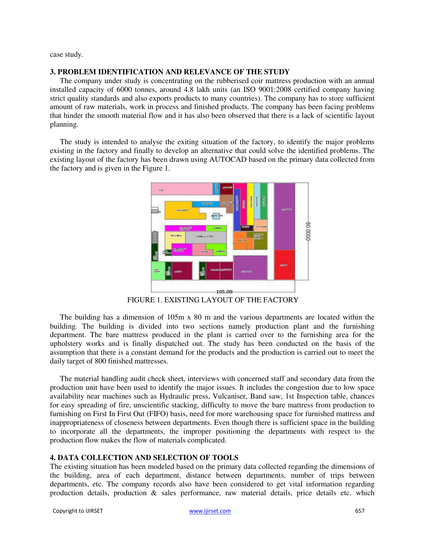case study.

#### **3. PROBLEM IDENTIFICATION AND RELEVANCE OF THE STUDY**

The company under study is concentrating on the rubberised coir mattress production with an annual installed capacity of 6000 tonnes, around 4.8 lakh units (an ISO 9001:2008 certified company having strict quality standards and also exports products to many countries). The company has to store sufficient amount of raw materials, work in process and finished products. The company has been facing problems that hinder the smooth material flow and it has also been observed that there is a lack of scientific layout planning.

The study is intended to analyse the exiting situation of the factory, to identify the major problems existing in the factory and finally to develop an alternative that could solve the identified problems. The existing layout of the factory has been drawn using AUTOCAD based on the primary data collected from the factory and is given in the Figure 1.



FIGURE 1. EXISTING LAYOUT OF THE FACTORY

The building has a dimension of 105m x 80 m and the various departments are located within the building. The building is divided into two sections namely production plant and the furnishing department. The bare mattress produced in the plant is carried over to the furnishing area for the upholstery works and is finally dispatched out. The study has been conducted on the basis of the assumption that there is a constant demand for the products and the production is carried out to meet the daily target of 800 finished mattresses.

The material handling audit check sheet, interviews with concerned staff and secondary data from the production unit have been used to identify the major issues. It includes the congestion due to low space availability near machines such as Hydraulic press, Vulcaniser, Band saw, 1st Inspection table, chances for easy spreading of fire, unscientific stacking, difficulty to move the bare mattress from production to furnishing on First In First Out (FIFO) basis, need for more warehousing space for furnished mattress and inappropriateness of closeness between departments. Even though there is sufficient space in the building to incorporate all the departments, the improper positioning the departments with respect to the production flow makes the flow of materials complicated.

### **4. DATA COLLECTION AND SELECTION OF TOOLS**

The existing situation has been modeled based on the primary data collected regarding the dimensions of the building, area of each department, distance between departments, number of trips between departments, etc. The company records also have been considered to get vital information regarding production details, production & sales performance, raw material details, price details etc. which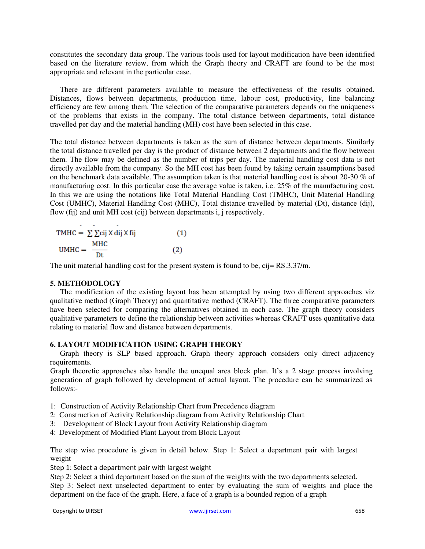constitutes the secondary data group. The various tools used for layout modification have been identified based on the literature review, from which the Graph theory and CRAFT are found to be the most appropriate and relevant in the particular case.

There are different parameters available to measure the effectiveness of the results obtained. Distances, flows between departments, production time, labour cost, productivity, line balancing efficiency are few among them. The selection of the comparative parameters depends on the uniqueness of the problems that exists in the company. The total distance between departments, total distance travelled per day and the material handling (MH) cost have been selected in this case.

The total distance between departments is taken as the sum of distance between departments. Similarly the total distance travelled per day is the product of distance between 2 departments and the flow between them. The flow may be defined as the number of trips per day. The material handling cost data is not directly available from the company. So the MH cost has been found by taking certain assumptions based on the benchmark data available. The assumption taken is that material handling cost is about 20-30 % of manufacturing cost. In this particular case the average value is taken, i.e. 25% of the manufacturing cost. In this we are using the notations like Total Material Handling Cost (TMHC), Unit Material Handling Cost (UMHC), Material Handling Cost (MHC), Total distance travelled by material (Dt), distance (dij), flow (fij) and unit MH cost (cij) between departments i, j respectively.

| TMHC = $\sum \sum$ cij X dij X fij | (1) |
|------------------------------------|-----|
| мнс                                |     |
| $UMHC = \_$<br>Dt                  | (2) |

The unit material handling cost for the present system is found to be, cij= RS.3.37/m.

#### **5. METHODOLOGY**

The modification of the existing layout has been attempted by using two different approaches viz qualitative method (Graph Theory) and quantitative method (CRAFT). The three comparative parameters have been selected for comparing the alternatives obtained in each case. The graph theory considers qualitative parameters to define the relationship between activities whereas CRAFT uses quantitative data relating to material flow and distance between departments.

## **6. LAYOUT MODIFICATION USING GRAPH THEORY**

Graph theory is SLP based approach. Graph theory approach considers only direct adjacency requirements.

Graph theoretic approaches also handle the unequal area block plan. It's a 2 stage process involving generation of graph followed by development of actual layout. The procedure can be summarized as follows:-

- 1: Construction of Activity Relationship Chart from Precedence diagram
- 2: Construction of Activity Relationship diagram from Activity Relationship Chart
- 3: Development of Block Layout from Activity Relationship diagram
- 4: Development of Modified Plant Layout from Block Layout

The step wise procedure is given in detail below. Step 1: Select a department pair with largest weight

Step 1: Select a department pair with largest weight

Step 2: Select a third department based on the sum of the weights with the two departments selected.

Step 3: Select next unselected department to enter by evaluating the sum of weights and place the department on the face of the graph. Here, a face of a graph is a bounded region of a graph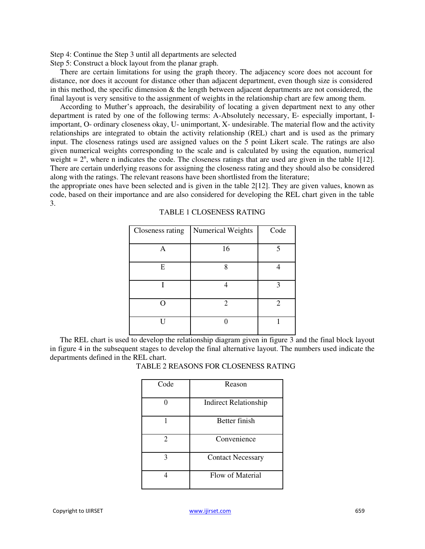Step 4: Continue the Step 3 until all departments are selected

Step 5: Construct a block layout from the planar graph.

There are certain limitations for using the graph theory. The adjacency score does not account for distance, nor does it account for distance other than adjacent department, even though size is considered in this method, the specific dimension  $\&$  the length between adjacent departments are not considered, the final layout is very sensitive to the assignment of weights in the relationship chart are few among them.

According to Muther's approach, the desirability of locating a given department next to any other department is rated by one of the following terms: A-Absolutely necessary, E- especially important, Iimportant, O- ordinary closeness okay, U- unimportant, X- undesirable. The material flow and the activity relationships are integrated to obtain the activity relationship (REL) chart and is used as the primary input. The closeness ratings used are assigned values on the 5 point Likert scale. The ratings are also given numerical weights corresponding to the scale and is calculated by using the equation, numerical weight =  $2<sup>n</sup>$ , where n indicates the code. The closeness ratings that are used are given in the table 1[12]. There are certain underlying reasons for assigning the closeness rating and they should also be considered along with the ratings. The relevant reasons have been shortlisted from the literature;

the appropriate ones have been selected and is given in the table  $2[12]$ . They are given values, known as code, based on their importance and are also considered for developing the REL chart given in the table 3.

| Closeness rating | Numerical Weights | Code |
|------------------|-------------------|------|
|                  |                   |      |
| А                | 16                |      |
|                  |                   |      |
| E                | 8                 |      |
|                  |                   |      |
|                  |                   | κ    |
|                  |                   |      |
|                  | $\mathfrak{D}$    | 2    |
|                  |                   |      |
| IΙ               |                   |      |
|                  |                   |      |

#### TABLE 1 CLOSENESS RATING

The REL chart is used to develop the relationship diagram given in figure 3 and the final block layout in figure 4 in the subsequent stages to develop the final alternative layout. The numbers used indicate the departments defined in the REL chart.

| TABLE 2 REASONS FOR CLOSENESS RATING |
|--------------------------------------|
|--------------------------------------|

| Code | Reason                       |
|------|------------------------------|
|      | <b>Indirect Relationship</b> |
|      | <b>Better finish</b>         |
| 2    | Convenience                  |
| 3    | <b>Contact Necessary</b>     |
|      | Flow of Material             |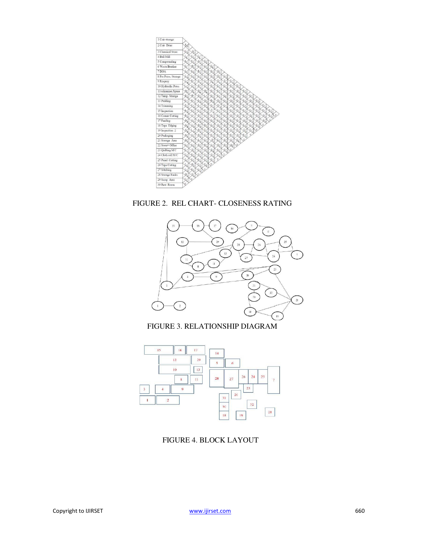

FIGURE 2. REL CHART- CLOSENESS RATING



FIGURE 3. RELATIONSHIP DIAGRAM



FIGURE 4. BLOCK LAYOUT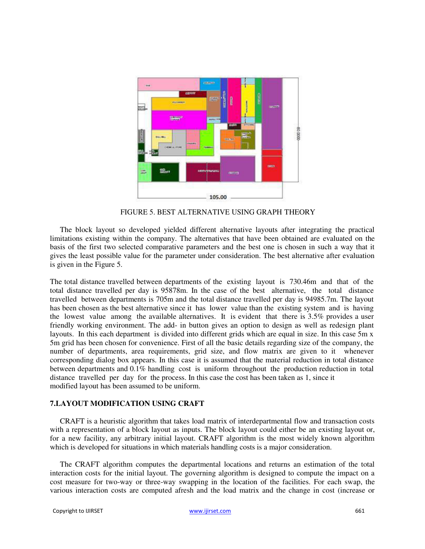

FIGURE 5. BEST ALTERNATIVE USING GRAPH THEORY

The block layout so developed yielded different alternative layouts after integrating the practical limitations existing within the company. The alternatives that have been obtained are evaluated on the basis of the first two selected comparative parameters and the best one is chosen in such a way that it gives the least possible value for the parameter under consideration. The best alternative after evaluation is given in the Figure 5.

The total distance travelled between departments of the existing layout is 730.46m and that of the total distance travelled per day is 95878m. In the case of the best alternative, the total distance travelled between departments is 705m and the total distance travelled per day is 94985.7m. The layout has been chosen as the best alternative since it has lower value than the existing system and is having the lowest value among the available alternatives. It is evident that there is 3.5% provides a user friendly working environment. The add- in button gives an option to design as well as redesign plant layouts. In this each department is divided into different grids which are equal in size. In this case 5m x 5m grid has been chosen for convenience. First of all the basic details regarding size of the company, the number of departments, area requirements, grid size, and flow matrix are given to it whenever corresponding dialog box appears. In this case it is assumed that the material reduction in total distance between departments and 0.1% handling cost is uniform throughout the production reduction in total distance travelled per day for the process. In this case the cost has been taken as 1, since it modified layout has been assumed to be uniform.

## **7.LAYOUT MODIFICATION USING CRAFT**

CRAFT is a heuristic algorithm that takes load matrix of interdepartmental flow and transaction costs with a representation of a block layout as inputs. The block layout could either be an existing layout or, for a new facility, any arbitrary initial layout. CRAFT algorithm is the most widely known algorithm which is developed for situations in which materials handling costs is a major consideration.

The CRAFT algorithm computes the departmental locations and returns an estimation of the total interaction costs for the initial layout. The governing algorithm is designed to compute the impact on a cost measure for two-way or three-way swapping in the location of the facilities. For each swap, the various interaction costs are computed afresh and the load matrix and the change in cost (increase or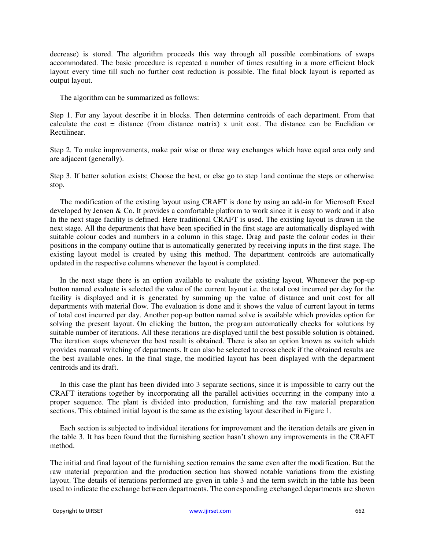decrease) is stored. The algorithm proceeds this way through all possible combinations of swaps accommodated. The basic procedure is repeated a number of times resulting in a more efficient block layout every time till such no further cost reduction is possible. The final block layout is reported as output layout.

The algorithm can be summarized as follows:

Step 1. For any layout describe it in blocks. Then determine centroids of each department. From that calculate the cost = distance (from distance matrix) x unit cost. The distance can be Euclidian or Rectilinear.

Step 2. To make improvements, make pair wise or three way exchanges which have equal area only and are adjacent (generally).

Step 3. If better solution exists; Choose the best, or else go to step 1and continue the steps or otherwise stop.

The modification of the existing layout using CRAFT is done by using an add-in for Microsoft Excel developed by Jensen & Co. It provides a comfortable platform to work since it is easy to work and it also In the next stage facility is defined. Here traditional CRAFT is used. The existing layout is drawn in the next stage. All the departments that have been specified in the first stage are automatically displayed with suitable colour codes and numbers in a column in this stage. Drag and paste the colour codes in their positions in the company outline that is automatically generated by receiving inputs in the first stage. The existing layout model is created by using this method. The department centroids are automatically updated in the respective columns whenever the layout is completed.

In the next stage there is an option available to evaluate the existing layout. Whenever the pop-up button named evaluate is selected the value of the current layout i.e. the total cost incurred per day for the facility is displayed and it is generated by summing up the value of distance and unit cost for all departments with material flow. The evaluation is done and it shows the value of current layout in terms of total cost incurred per day. Another pop-up button named solve is available which provides option for solving the present layout. On clicking the button, the program automatically checks for solutions by suitable number of iterations. All these iterations are displayed until the best possible solution is obtained. The iteration stops whenever the best result is obtained. There is also an option known as switch which provides manual switching of departments. It can also be selected to cross check if the obtained results are the best available ones. In the final stage, the modified layout has been displayed with the department centroids and its draft.

In this case the plant has been divided into 3 separate sections, since it is impossible to carry out the CRAFT iterations together by incorporating all the parallel activities occurring in the company into a proper sequence. The plant is divided into production, furnishing and the raw material preparation sections. This obtained initial layout is the same as the existing layout described in Figure 1.

Each section is subjected to individual iterations for improvement and the iteration details are given in the table 3. It has been found that the furnishing section hasn't shown any improvements in the CRAFT method.

The initial and final layout of the furnishing section remains the same even after the modification. But the raw material preparation and the production section has showed notable variations from the existing layout. The details of iterations performed are given in table 3 and the term switch in the table has been used to indicate the exchange between departments. The corresponding exchanged departments are shown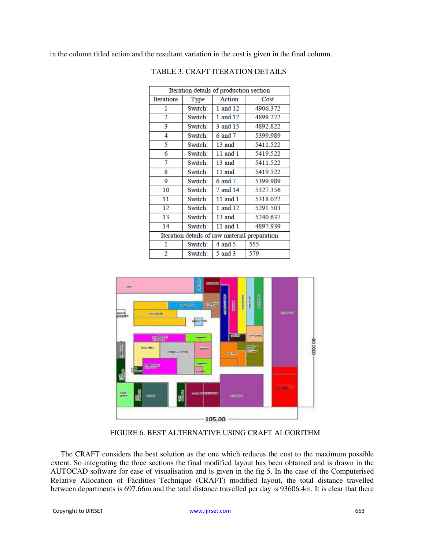in the column titled action and the resultant variation in the cost is given in the final column.

| Iteration details of production section       |         |          |          |  |
|-----------------------------------------------|---------|----------|----------|--|
| <b>Iterations</b>                             | Type    | Action   | Cost     |  |
| 1                                             | Switch: | 1 and 12 | 4906.372 |  |
| 2                                             | Switch: | 1 and 12 | 4899.272 |  |
| 3                                             | Switch: | 3 and 15 | 4892.822 |  |
| 4                                             | Switch: | 6 and 7  | 5399.989 |  |
| 5                                             | Switch: | 13 and   | 5411.522 |  |
| 6                                             | Switch: | 11 and 1 | 5419.522 |  |
| 7                                             | Switch: | 13 and   | 5411.522 |  |
| 8                                             | Switch: | 11 and   | 5419.522 |  |
| 9                                             | Switch: | 6 and 7  | 5399.989 |  |
| 10                                            | Switch: | 7 and 14 | 5327.356 |  |
| 11                                            | Switch: | 11 and 1 | 5318.022 |  |
| 12                                            | Switch: | 1 and 12 | 5291.503 |  |
| 13                                            | Switch: | 13 and   | 5240.637 |  |
| 14                                            | Switch: | 11 and 1 | 4897.939 |  |
| Iteration details of raw material preparation |         |          |          |  |
| 1                                             | Switch: | 4 and 5  | 555      |  |
| $\overline{2}$                                | Switch: | 5 and 3  | 579      |  |



FIGURE 6. BEST ALTERNATIVE USING CRAFT ALGORITHM

The CRAFT considers the best solution as the one which reduces the cost to the maximum possible extent. So integrating the three sections the final modified layout has been obtained and is drawn in the AUTOCAD software for ease of visualisation and is given in the fig 5. In the case of the Computerised Relative Allocation of Facilities Technique (CRAFT) modified layout, the total distance travelled between departments is 697.66m and the total distance travelled per day is 93606.4m. It is clear that there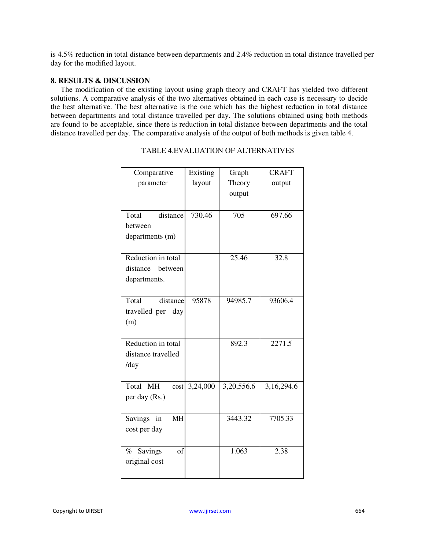is 4.5% reduction in total distance between departments and 2.4% reduction in total distance travelled per day for the modified layout.

### **8. RESULTS & DISCUSSION**

The modification of the existing layout using graph theory and CRAFT has yielded two different solutions. A comparative analysis of the two alternatives obtained in each case is necessary to decide the best alternative. The best alternative is the one which has the highest reduction in total distance between departments and total distance travelled per day. The solutions obtained using both methods are found to be acceptable, since there is reduction in total distance between departments and the total distance travelled per day. The comparative analysis of the output of both methods is given table 4.

| Comparative                       | Existing | Graph      | <b>CRAFT</b> |
|-----------------------------------|----------|------------|--------------|
| parameter                         | layout   | Theory     | output       |
|                                   |          | output     |              |
|                                   |          |            |              |
| Total<br>distance                 | 730.46   | 705        | 697.66       |
| between                           |          |            |              |
| departments (m)                   |          |            |              |
|                                   |          |            |              |
| Reduction in total                |          | 25.46      | 32.8         |
| distance<br>between               |          |            |              |
| departments.                      |          |            |              |
|                                   |          |            |              |
| Total<br>distance                 | 95878    | 94985.7    | 93606.4      |
| travelled per<br>day              |          |            |              |
| (m)                               |          |            |              |
|                                   |          |            |              |
| Reduction in total                |          | 892.3      | 2271.5       |
| distance travelled                |          |            |              |
| /day                              |          |            |              |
|                                   |          |            |              |
| Total MH<br>cost                  | 3,24,000 | 3,20,556.6 | 3,16,294.6   |
| per day (Rs.)                     |          |            |              |
|                                   |          |            |              |
| <b>MH</b><br><b>Savings</b><br>in |          | 3443.32    | 7705.33      |
| cost per day                      |          |            |              |
|                                   |          |            |              |
| of<br>Savings<br>$\%$             |          | 1.063      | 2.38         |
| original cost                     |          |            |              |
|                                   |          |            |              |

## TABLE 4.EVALUATION OF ALTERNATIVES